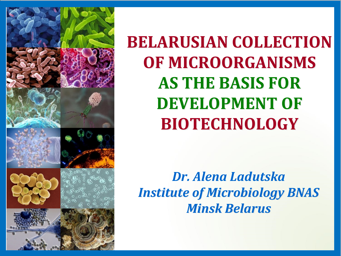

**BELARUSIAN COLLECTION OF MICROORGANISMS AS THE BASIS FOR DEVELOPMENT OF BIOTECHNOLOGY**

*Dr. Alena Ladutska Institute of Microbiology BNAS Minsk Belarus*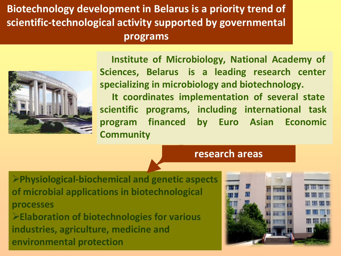### **Biotechnology development in Belarus is a priority trend of scientific-technological activity supported by governmental programs**



**Institute of Microbiology, National Academy of Sciences, Belarus is a leading research center specializing in microbiology and biotechnology.** 

**It coordinates implementation of several state scientific programs, including international task program financed by Euro Asian Economic Community** 

#### **research areas**

Ø **Physiological-biochemical and genetic aspects of microbial applications in biotechnological processes** Ø **Elaboration of biotechnologies for various industries, agriculture, medicine and environmental protection**

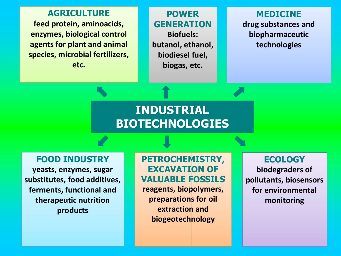**AGRICULTURE feed protein, aminoacids, enzymes, biological control agents for plant and animal species, microbial fertilizers, etc.** 

**POWER GENERATION Biofuels: butanol, ethanol, biodiesel fuel, biogas, etc.**

**MEDICINE drug substances and biopharmaceutic technologies**

### **INDUSTRIAL BIOTECHNOLOGIES**

**FOOD INDUSTRY**

**yeasts, enzymes, sugar substitutes, food additives, ferments, functional and therapeutic nutrition products**

#### **PETROCHEMISTRY, EXCAVATION OF VALUABLE FOSSILS**

**reagents, biopolymers, preparations for oil extraction and biogeotechnology**

**ECOLOGY biodegraders of pollutants, biosensors for environmental monitoring**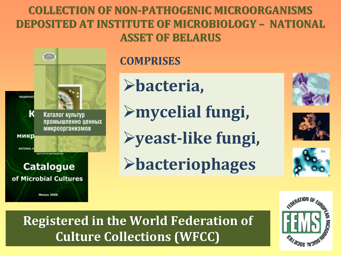## **COLLECTION OF NON-PATHOGENIC MICROORGANISMS DEPOSITED AT INSTITUTE OF MICROBIOLOGY – NATIONAL ASSET OF BELARUS**



## **COMPRISES**

Ø**bacteria,**

Ø**mycelial fungi,**

Ø**yeast-like fungi,**

Ø**bacteriophages**







# **Registered in the World Federation of Culture Collections (WFCC)**